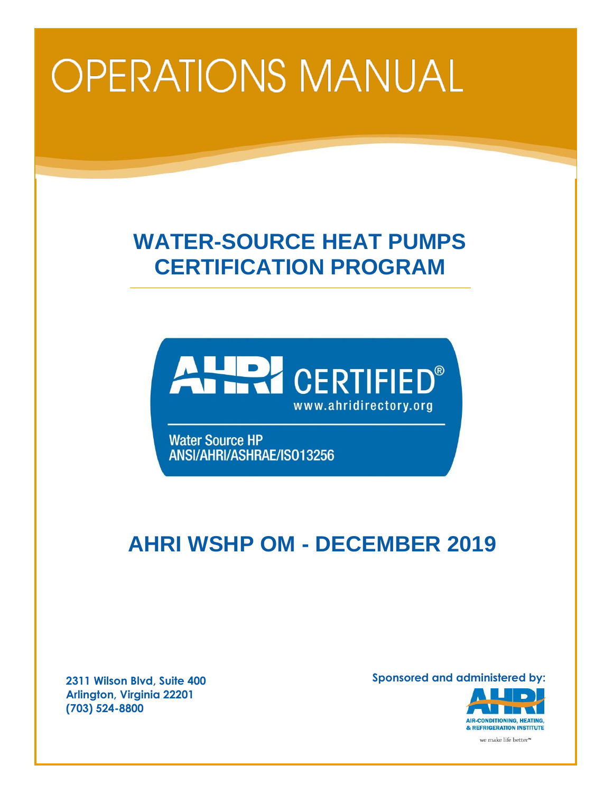# **OPERATIONS MANUAL**

# **WATER-SOURCE HEAT PUMPS CERTIFICATION PROGRAM**



**Water Source HP** ANSI/AHRI/ASHRAE/IS013256

# **AHRI WSHP OM - DECEMBER 2019**

**2311 Wilson Blvd, Suite 400 Arlington, Virginia 22201 (703) 524-8800**

**Sponsored and administered by:**

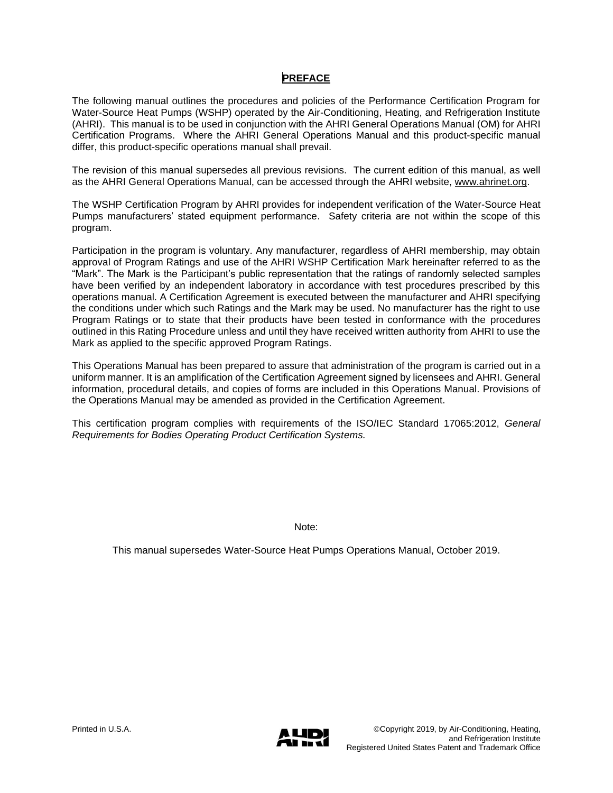# **PREFACE**

The following manual outlines the procedures and policies of the Performance Certification Program for Water-Source Heat Pumps (WSHP) operated by the Air-Conditioning, Heating, and Refrigeration Institute (AHRI). This manual is to be used in conjunction with the AHRI General Operations Manual (OM) for AHRI Certification Programs. Where the AHRI General Operations Manual and this product-specific manual differ, this product-specific operations manual shall prevail.

The revision of this manual supersedes all previous revisions. The current edition of this manual, as well as the AHRI General Operations Manual, can be accessed through the AHRI website, [www.ahrinet.org.](http://www.ahrinet.org/)

The WSHP Certification Program by AHRI provides for independent verification of the Water-Source Heat Pumps manufacturers' stated equipment performance. Safety criteria are not within the scope of this program.

Participation in the program is voluntary. Any manufacturer, regardless of AHRI membership, may obtain approval of Program Ratings and use of the AHRI WSHP Certification Mark hereinafter referred to as the "Mark". The Mark is the Participant's public representation that the ratings of randomly selected samples have been verified by an independent laboratory in accordance with test procedures prescribed by this operations manual. A Certification Agreement is executed between the manufacturer and AHRI specifying the conditions under which such Ratings and the Mark may be used. No manufacturer has the right to use Program Ratings or to state that their products have been tested in conformance with the procedures outlined in this Rating Procedure unless and until they have received written authority from AHRI to use the Mark as applied to the specific approved Program Ratings.

This Operations Manual has been prepared to assure that administration of the program is carried out in a uniform manner. It is an amplification of the Certification Agreement signed by licensees and AHRI. General information, procedural details, and copies of forms are included in this Operations Manual. Provisions of the Operations Manual may be amended as provided in the Certification Agreement.

This certification program complies with requirements of the ISO/IEC Standard 17065:2012, *General Requirements for Bodies Operating Product Certification Systems.* 

Note:

This manual supersedes Water-Source Heat Pumps Operations Manual, October 2019.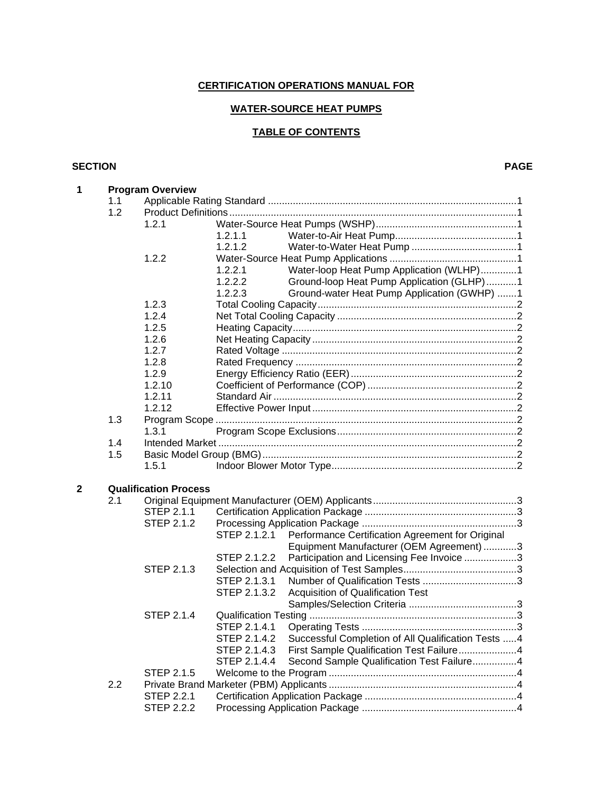# **CERTIFICATION OPERATIONS MANUAL FOR**

# **WATER-SOURCE HEAT PUMPS**

# **TABLE OF CONTENTS**

#### **SECTION PAGE**

| 1 |     | <b>Program Overview</b>      |                                                                     |  |  |  |  |  |
|---|-----|------------------------------|---------------------------------------------------------------------|--|--|--|--|--|
|   | 1.1 |                              |                                                                     |  |  |  |  |  |
|   | 1.2 |                              |                                                                     |  |  |  |  |  |
|   |     | 1.2.1                        |                                                                     |  |  |  |  |  |
|   |     |                              | 1.2.1.1                                                             |  |  |  |  |  |
|   |     |                              | 1.2.1.2                                                             |  |  |  |  |  |
|   |     | 1.2.2                        |                                                                     |  |  |  |  |  |
|   |     |                              | Water-loop Heat Pump Application (WLHP)1<br>1.2.2.1                 |  |  |  |  |  |
|   |     |                              | Ground-loop Heat Pump Application (GLHP)1<br>1.2.2.2                |  |  |  |  |  |
|   |     |                              | Ground-water Heat Pump Application (GWHP) 1<br>1.2.2.3              |  |  |  |  |  |
|   |     | 1.2.3                        |                                                                     |  |  |  |  |  |
|   |     | 1.2.4                        |                                                                     |  |  |  |  |  |
|   |     | 1.2.5                        |                                                                     |  |  |  |  |  |
|   |     | 1.2.6                        |                                                                     |  |  |  |  |  |
|   |     | 1.2.7                        |                                                                     |  |  |  |  |  |
|   |     | 1.2.8                        |                                                                     |  |  |  |  |  |
|   |     | 1.2.9                        |                                                                     |  |  |  |  |  |
|   |     | 1.2.10                       |                                                                     |  |  |  |  |  |
|   |     | 1.2.11                       |                                                                     |  |  |  |  |  |
|   |     | 1.2.12                       |                                                                     |  |  |  |  |  |
|   | 1.3 |                              |                                                                     |  |  |  |  |  |
|   |     | 1.3.1                        |                                                                     |  |  |  |  |  |
|   | 1.4 |                              |                                                                     |  |  |  |  |  |
|   | 1.5 |                              |                                                                     |  |  |  |  |  |
|   |     | 1.5.1                        |                                                                     |  |  |  |  |  |
|   |     |                              |                                                                     |  |  |  |  |  |
| 2 | 2.1 | <b>Qualification Process</b> |                                                                     |  |  |  |  |  |
|   |     | STEP 2.1.1                   |                                                                     |  |  |  |  |  |
|   |     | STEP 2.1.2                   |                                                                     |  |  |  |  |  |
|   |     |                              | STEP 2.1.2.1<br>Performance Certification Agreement for Original    |  |  |  |  |  |
|   |     |                              | Equipment Manufacturer (OEM Agreement) 3                            |  |  |  |  |  |
|   |     |                              | Participation and Licensing Fee Invoice 3<br>STEP 2.1.2.2           |  |  |  |  |  |
|   |     | <b>STEP 2.1.3</b>            |                                                                     |  |  |  |  |  |
|   |     |                              | STEP 2.1.3.1                                                        |  |  |  |  |  |
|   |     |                              | STEP 2.1.3.2<br>Acquisition of Qualification Test                   |  |  |  |  |  |
|   |     |                              |                                                                     |  |  |  |  |  |
|   |     | STEP 2.1.4                   |                                                                     |  |  |  |  |  |
|   |     |                              | STEP 2.1.4.1                                                        |  |  |  |  |  |
|   |     |                              | STEP 2.1.4.2<br>Successful Completion of All Qualification Tests  4 |  |  |  |  |  |
|   |     |                              | STEP 2.1.4.3<br>First Sample Qualification Test Failure4            |  |  |  |  |  |
|   |     |                              | Second Sample Qualification Test Failure4<br>STEP 2.1.4.4           |  |  |  |  |  |
|   |     | STEP 2.1.5                   |                                                                     |  |  |  |  |  |
|   | 2.2 |                              |                                                                     |  |  |  |  |  |
|   |     | STEP 2.2.1                   |                                                                     |  |  |  |  |  |
|   |     | <b>STEP 2.2.2</b>            |                                                                     |  |  |  |  |  |
|   |     |                              |                                                                     |  |  |  |  |  |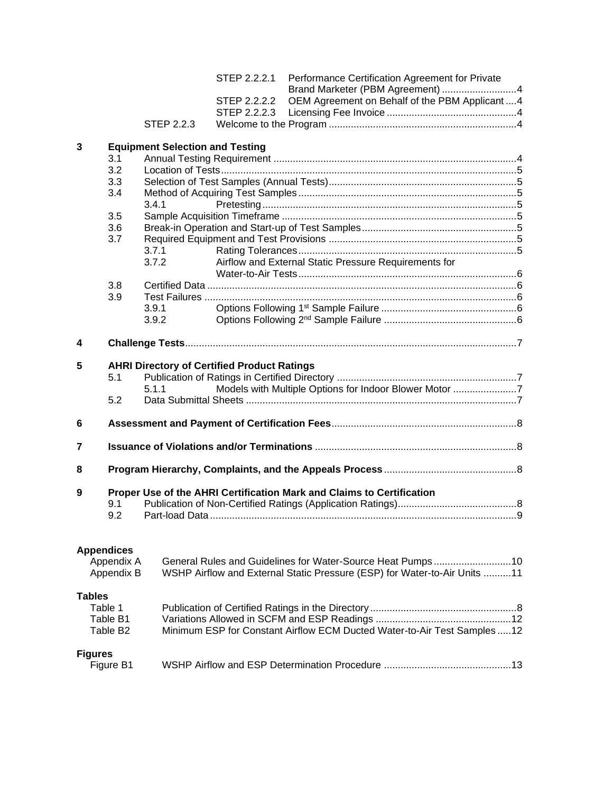|                |                      |                                        | STEP 2.2.2.1                                       | Performance Certification Agreement for Private<br>Brand Marketer (PBM Agreement) 4 |  |  |  |
|----------------|----------------------|----------------------------------------|----------------------------------------------------|-------------------------------------------------------------------------------------|--|--|--|
|                |                      |                                        | STEP 2.2.2.2                                       | OEM Agreement on Behalf of the PBM Applicant4                                       |  |  |  |
|                |                      |                                        | STEP 2.2.2.3                                       |                                                                                     |  |  |  |
|                |                      | <b>STEP 2.2.3</b>                      |                                                    |                                                                                     |  |  |  |
|                |                      |                                        |                                                    |                                                                                     |  |  |  |
| 3              |                      | <b>Equipment Selection and Testing</b> |                                                    |                                                                                     |  |  |  |
|                | 3.1                  |                                        |                                                    |                                                                                     |  |  |  |
|                | 3.2                  |                                        |                                                    |                                                                                     |  |  |  |
|                | 3.3                  |                                        |                                                    |                                                                                     |  |  |  |
|                | 3.4                  |                                        |                                                    |                                                                                     |  |  |  |
|                |                      | 3.4.1                                  |                                                    |                                                                                     |  |  |  |
|                | 3.5                  |                                        |                                                    |                                                                                     |  |  |  |
|                | 3.6                  |                                        |                                                    |                                                                                     |  |  |  |
|                | 3.7                  |                                        |                                                    |                                                                                     |  |  |  |
|                |                      | 3.7.1                                  |                                                    |                                                                                     |  |  |  |
|                |                      | 3.7.2                                  |                                                    | Airflow and External Static Pressure Requirements for                               |  |  |  |
|                |                      |                                        |                                                    |                                                                                     |  |  |  |
|                | 3.8                  |                                        |                                                    |                                                                                     |  |  |  |
|                | 3.9                  |                                        |                                                    |                                                                                     |  |  |  |
|                |                      | 3.9.1                                  |                                                    |                                                                                     |  |  |  |
|                |                      | 3.9.2                                  |                                                    |                                                                                     |  |  |  |
| 4              |                      |                                        |                                                    |                                                                                     |  |  |  |
|                |                      |                                        |                                                    |                                                                                     |  |  |  |
| 5              |                      |                                        | <b>AHRI Directory of Certified Product Ratings</b> |                                                                                     |  |  |  |
|                | 5.1                  |                                        |                                                    |                                                                                     |  |  |  |
|                |                      | 5.1.1                                  |                                                    | Models with Multiple Options for Indoor Blower Motor 7                              |  |  |  |
|                | 5.2                  |                                        |                                                    |                                                                                     |  |  |  |
|                |                      |                                        |                                                    |                                                                                     |  |  |  |
| 6              |                      |                                        |                                                    |                                                                                     |  |  |  |
| 7              |                      |                                        |                                                    |                                                                                     |  |  |  |
|                |                      |                                        |                                                    |                                                                                     |  |  |  |
| 8              |                      |                                        |                                                    |                                                                                     |  |  |  |
|                |                      |                                        |                                                    |                                                                                     |  |  |  |
| 9              |                      |                                        |                                                    | Proper Use of the AHRI Certification Mark and Claims to Certification               |  |  |  |
|                | 9.1                  |                                        |                                                    |                                                                                     |  |  |  |
|                | 9.2                  |                                        |                                                    |                                                                                     |  |  |  |
|                |                      |                                        |                                                    |                                                                                     |  |  |  |
|                | <b>Appendices</b>    |                                        |                                                    |                                                                                     |  |  |  |
|                | Appendix A           |                                        |                                                    |                                                                                     |  |  |  |
|                | Appendix B           |                                        |                                                    | WSHP Airflow and External Static Pressure (ESP) for Water-to-Air Units 11           |  |  |  |
|                |                      |                                        |                                                    |                                                                                     |  |  |  |
| <b>Tables</b>  |                      |                                        |                                                    |                                                                                     |  |  |  |
|                | Table 1              |                                        |                                                    |                                                                                     |  |  |  |
|                | Table B1             |                                        |                                                    |                                                                                     |  |  |  |
|                | Table B <sub>2</sub> |                                        |                                                    | Minimum ESP for Constant Airflow ECM Ducted Water-to-Air Test Samples12             |  |  |  |
|                |                      |                                        |                                                    |                                                                                     |  |  |  |
| <b>Figures</b> |                      |                                        |                                                    |                                                                                     |  |  |  |
| Figure B1      |                      |                                        |                                                    |                                                                                     |  |  |  |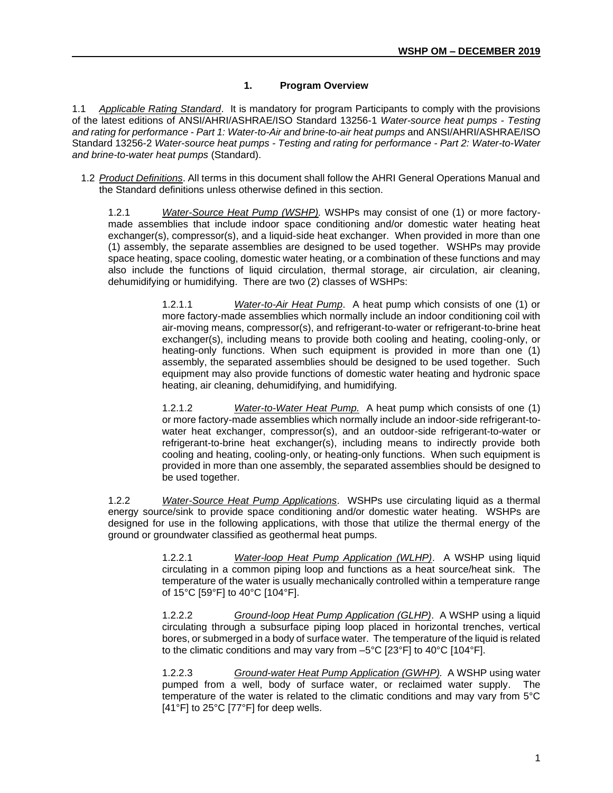# **1. Program Overview**

1.1 *Applicable Rating Standard*. It is mandatory for program Participants to comply with the provisions of the latest editions of ANSI/AHRI/ASHRAE/ISO Standard 13256-1 *Water-source heat pumps - Testing and rating for performance - Part 1: Water-to-Air and brine-to-air heat pumps* and ANSI/AHRI/ASHRAE/ISO Standard 13256-2 *Water-source heat pumps - Testing and rating for performance - Part 2: Water-to-Water and brine-to-water heat pumps* (Standard).

1.2 *Product Definitions*. All terms in this document shall follow the AHRI General Operations Manual and the Standard definitions unless otherwise defined in this section.

1.2.1 *Water-Source Heat Pump (WSHP).* WSHPs may consist of one (1) or more factorymade assemblies that include indoor space conditioning and/or domestic water heating heat exchanger(s), compressor(s), and a liquid-side heat exchanger. When provided in more than one (1) assembly, the separate assemblies are designed to be used together. WSHPs may provide space heating, space cooling, domestic water heating, or a combination of these functions and may also include the functions of liquid circulation, thermal storage, air circulation, air cleaning, dehumidifying or humidifying. There are two (2) classes of WSHPs:

> 1.2.1.1 *Water-to-Air Heat Pump*. A heat pump which consists of one (1) or more factory-made assemblies which normally include an indoor conditioning coil with air-moving means, compressor(s), and refrigerant-to-water or refrigerant-to-brine heat exchanger(s), including means to provide both cooling and heating, cooling-only, or heating-only functions. When such equipment is provided in more than one (1) assembly, the separated assemblies should be designed to be used together. Such equipment may also provide functions of domestic water heating and hydronic space heating, air cleaning, dehumidifying, and humidifying.

> 1.2.1.2 *Water-to-Water Heat Pump.* A heat pump which consists of one (1) or more factory-made assemblies which normally include an indoor-side refrigerant-towater heat exchanger, compressor(s), and an outdoor-side refrigerant-to-water or refrigerant-to-brine heat exchanger(s), including means to indirectly provide both cooling and heating, cooling-only, or heating-only functions. When such equipment is provided in more than one assembly, the separated assemblies should be designed to be used together.

1.2.2 *Water-Source Heat Pump Applications*. WSHPs use circulating liquid as a thermal energy source/sink to provide space conditioning and/or domestic water heating. WSHPs are designed for use in the following applications, with those that utilize the thermal energy of the ground or groundwater classified as geothermal heat pumps.

> 1.2.2.1 *Water-loop Heat Pump Application (WLHP)*. A WSHP using liquid circulating in a common piping loop and functions as a heat source/heat sink. The temperature of the water is usually mechanically controlled within a temperature range of 15°C [59°F] to 40°C [104°F].

> 1.2.2.2 *Ground-loop Heat Pump Application (GLHP)*. A WSHP using a liquid circulating through a subsurface piping loop placed in horizontal trenches, vertical bores, or submerged in a body of surface water. The temperature of the liquid is related to the climatic conditions and may vary from –5°C [23°F] to 40°C [104°F].

> 1.2.2.3 *Ground-water Heat Pump Application (GWHP).* A WSHP using water pumped from a well, body of surface water, or reclaimed water supply. The temperature of the water is related to the climatic conditions and may vary from 5°C [41°F] to 25°C [77°F] for deep wells.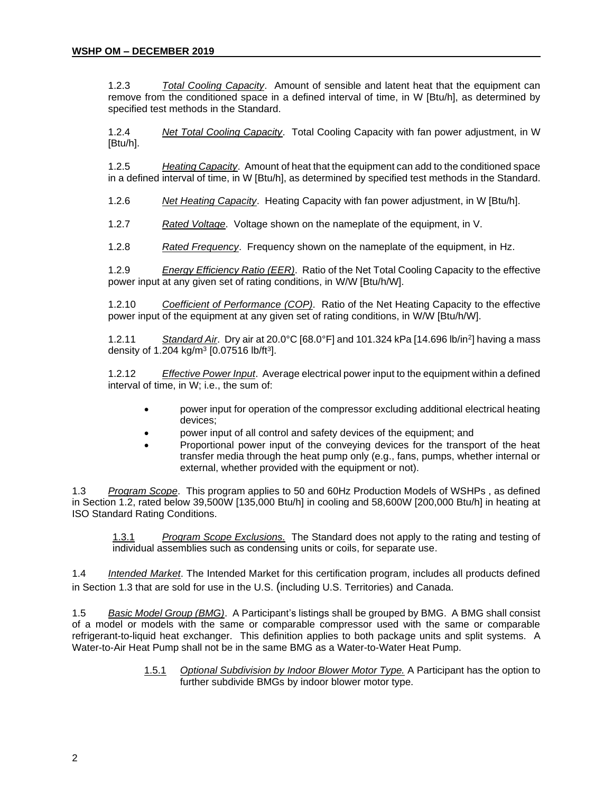1.2.3 *Total Cooling Capacity*. Amount of sensible and latent heat that the equipment can remove from the conditioned space in a defined interval of time, in W [Btu/h], as determined by specified test methods in the Standard.

1.2.4 *Net Total Cooling Capacity*. Total Cooling Capacity with fan power adjustment, in W [Btu/h].

1.2.5 *Heating Capacity*. Amount of heat that the equipment can add to the conditioned space in a defined interval of time, in W [Btu/h], as determined by specified test methods in the Standard.

1.2.6 *Net Heating Capacity*. Heating Capacity with fan power adjustment, in W [Btu/h].

1.2.7 *Rated Voltage*. Voltage shown on the nameplate of the equipment, in V.

1.2.8 *Rated Frequency*. Frequency shown on the nameplate of the equipment, in Hz.

1.2.9 *Energy Efficiency Ratio (EER)*. Ratio of the Net Total Cooling Capacity to the effective power input at any given set of rating conditions, in W/W [Btu/h/W].

1.2.10 *Coefficient of Performance (COP)*. Ratio of the Net Heating Capacity to the effective power input of the equipment at any given set of rating conditions, in W/W [Btu/h/W].

1.2.11 *Standard Air*. Dry air at 20.0°C [68.0°F] and 101.324 kPa [14.696 lb/in<sup>2</sup> ] having a mass density of 1.204 kg/m<sup>3</sup> [0.07516 lb/ft<sup>3</sup>].

1.2.12 *Effective Power Input*. Average electrical power input to the equipment within a defined interval of time, in W; i.e., the sum of:

- power input for operation of the compressor excluding additional electrical heating devices;
- power input of all control and safety devices of the equipment; and
- Proportional power input of the conveying devices for the transport of the heat transfer media through the heat pump only (e.g., fans, pumps, whether internal or external, whether provided with the equipment or not).

1.3 *Program Scope*. This program applies to 50 and 60Hz Production Models of WSHPs , as defined in Section 1.2, rated below 39,500W [135,000 Btu/h] in cooling and 58,600W [200,000 Btu/h] in heating at ISO Standard Rating Conditions.

1.3.1 *Program Scope Exclusions.* The Standard does not apply to the rating and testing of individual assemblies such as condensing units or coils, for separate use.

1.4 *Intended Market*. The Intended Market for this certification program, includes all products defined in Section 1.3 that are sold for use in the U.S. (including U.S. Territories) and Canada.

1.5 *Basic Model Group (BMG)*. A Participant's listings shall be grouped by BMG. A BMG shall consist of a model or models with the same or comparable compressor used with the same or comparable refrigerant-to-liquid heat exchanger. This definition applies to both package units and split systems. A Water-to-Air Heat Pump shall not be in the same BMG as a Water-to-Water Heat Pump.

> 1.5.1 *Optional Subdivision by Indoor Blower Motor Type.* A Participant has the option to further subdivide BMGs by indoor blower motor type.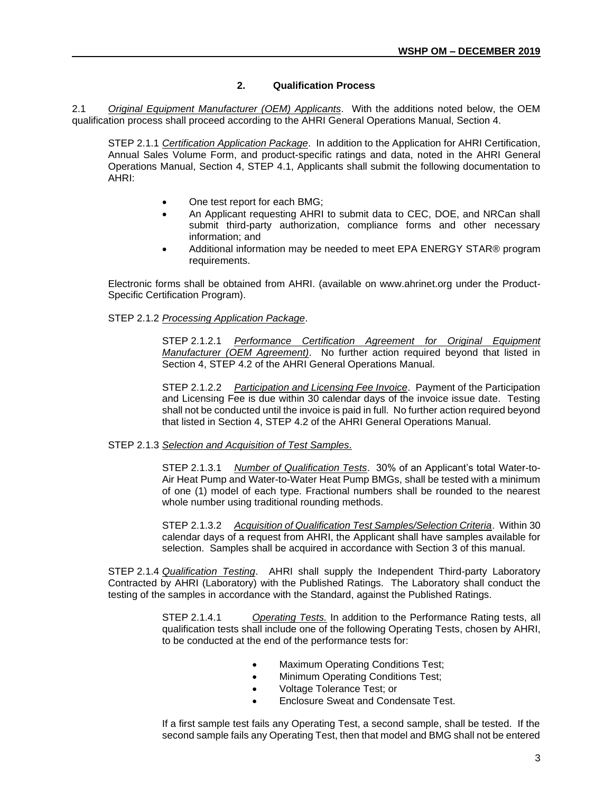# **2. Qualification Process**

2.1 *Original Equipment Manufacturer (OEM) Applicants*. With the additions noted below, the OEM qualification process shall proceed according to the AHRI General Operations Manual, Section 4.

STEP 2.1.1 *Certification Application Package*. In addition to the Application for AHRI Certification, Annual Sales Volume Form, and product-specific ratings and data, noted in the AHRI General Operations Manual, Section 4, STEP 4.1, Applicants shall submit the following documentation to AHRI:

- One test report for each BMG;
- An Applicant requesting AHRI to submit data to CEC, DOE, and NRCan shall submit third-party authorization, compliance forms and other necessary information; and
- Additional information may be needed to meet EPA ENERGY STAR® program requirements.

Electronic forms shall be obtained from AHRI. (available on www.ahrinet.org under the Product-Specific Certification Program).

STEP 2.1.2 *Processing Application Package*.

STEP 2.1.2.1 *Performance Certification Agreement for Original Equipment Manufacturer (OEM Agreement)*. No further action required beyond that listed in Section 4, STEP 4.2 of the AHRI General Operations Manual.

STEP 2.1.2.2 *Participation and Licensing Fee Invoice*. Payment of the Participation and Licensing Fee is due within 30 calendar days of the invoice issue date. Testing shall not be conducted until the invoice is paid in full. No further action required beyond that listed in Section 4, STEP 4.2 of the AHRI General Operations Manual.

#### STEP 2.1.3 *Selection and Acquisition of Test Samples*.

STEP 2.1.3.1 *Number of Qualification Tests*. 30% of an Applicant's total Water-to-Air Heat Pump and Water-to-Water Heat Pump BMGs, shall be tested with a minimum of one (1) model of each type. Fractional numbers shall be rounded to the nearest whole number using traditional rounding methods.

STEP 2.1.3.2 *Acquisition of Qualification Test Samples/Selection Criteria*. Within 30 calendar days of a request from AHRI, the Applicant shall have samples available for selection. Samples shall be acquired in accordance with Section 3 of this manual.

STEP 2.1.4 *Qualification Testing*. AHRI shall supply the Independent Third-party Laboratory Contracted by AHRI (Laboratory) with the Published Ratings. The Laboratory shall conduct the testing of the samples in accordance with the Standard, against the Published Ratings.

> STEP 2.1.4.1 *Operating Tests.* In addition to the Performance Rating tests, all qualification tests shall include one of the following Operating Tests, chosen by AHRI, to be conducted at the end of the performance tests for:

- Maximum Operating Conditions Test;
- Minimum Operating Conditions Test;
- Voltage Tolerance Test; or
- Enclosure Sweat and Condensate Test.

If a first sample test fails any Operating Test, a second sample, shall be tested. If the second sample fails any Operating Test, then that model and BMG shall not be entered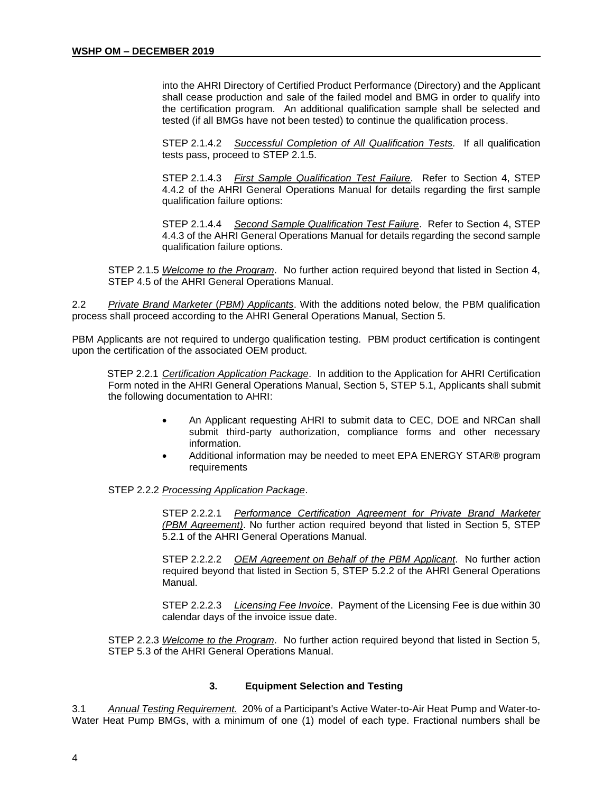into the AHRI Directory of Certified Product Performance (Directory) and the Applicant shall cease production and sale of the failed model and BMG in order to qualify into the certification program. An additional qualification sample shall be selected and tested (if all BMGs have not been tested) to continue the qualification process.

STEP 2.1.4.2 *Successful Completion of All Qualification Tests.* If all qualification tests pass, proceed to STEP 2.1.5.

STEP 2.1.4.3 *First Sample Qualification Test Failure*. Refer to Section 4, STEP 4.4.2 of the AHRI General Operations Manual for details regarding the first sample qualification failure options:

STEP 2.1.4.4 *Second Sample Qualification Test Failure*. Refer to Section 4, STEP 4.4.3 of the AHRI General Operations Manual for details regarding the second sample qualification failure options.

STEP 2.1.5 *Welcome to the Program*. No further action required beyond that listed in Section 4, STEP 4.5 of the AHRI General Operations Manual.

2.2 *Private Brand Marketer* (*PBM) Applicants*. With the additions noted below, the PBM qualification process shall proceed according to the AHRI General Operations Manual, Section 5.

PBM Applicants are not required to undergo qualification testing. PBM product certification is contingent upon the certification of the associated OEM product.

STEP 2.2.1 *Certification Application Package*. In addition to the Application for AHRI Certification Form noted in the AHRI General Operations Manual, Section 5, STEP 5.1, Applicants shall submit the following documentation to AHRI:

- An Applicant requesting AHRI to submit data to CEC, DOE and NRCan shall submit third-party authorization, compliance forms and other necessary information.
- Additional information may be needed to meet EPA ENERGY STAR® program requirements

#### STEP 2.2.2 *Processing Application Package*.

STEP 2.2.2.1 *Performance Certification Agreement for Private Brand Marketer (PBM Agreement)*. No further action required beyond that listed in Section 5, STEP 5.2.1 of the AHRI General Operations Manual.

STEP 2.2.2.2 *OEM Agreement on Behalf of the PBM Applicant*. No further action required beyond that listed in Section 5, STEP 5.2.2 of the AHRI General Operations Manual.

STEP 2.2.2.3 *Licensing Fee Invoice*. Payment of the Licensing Fee is due within 30 calendar days of the invoice issue date.

STEP 2.2.3 *Welcome to the Program*. No further action required beyond that listed in Section 5, STEP 5.3 of the AHRI General Operations Manual.

#### **3. Equipment Selection and Testing**

3.1 *Annual Testing Requirement.* 20% of a Participant's Active Water-to-Air Heat Pump and Water-to-Water Heat Pump BMGs, with a minimum of one (1) model of each type. Fractional numbers shall be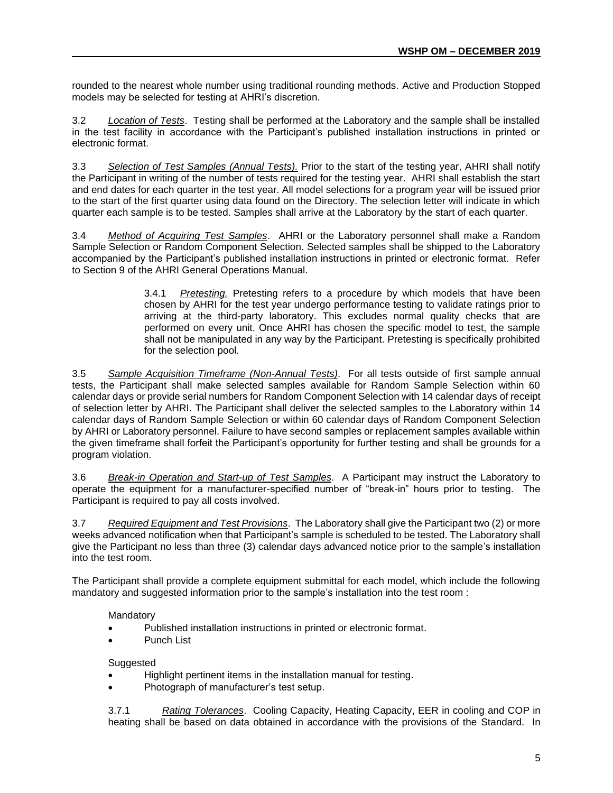rounded to the nearest whole number using traditional rounding methods. Active and Production Stopped models may be selected for testing at AHRI's discretion.

3.2 *Location of Tests*. Testing shall be performed at the Laboratory and the sample shall be installed in the test facility in accordance with the Participant's published installation instructions in printed or electronic format.

3.3 *Selection of Test Samples (Annual Tests).* Prior to the start of the testing year, AHRI shall notify the Participant in writing of the number of tests required for the testing year. AHRI shall establish the start and end dates for each quarter in the test year. All model selections for a program year will be issued prior to the start of the first quarter using data found on the Directory. The selection letter will indicate in which quarter each sample is to be tested. Samples shall arrive at the Laboratory by the start of each quarter.

3.4 *Method of Acquiring Test Samples*. AHRI or the Laboratory personnel shall make a Random Sample Selection or Random Component Selection. Selected samples shall be shipped to the Laboratory accompanied by the Participant's published installation instructions in printed or electronic format. Refer to Section 9 of the AHRI General Operations Manual.

> 3.4.1 *Pretesting.* Pretesting refers to a procedure by which models that have been chosen by AHRI for the test year undergo performance testing to validate ratings prior to arriving at the third-party laboratory. This excludes normal quality checks that are performed on every unit. Once AHRI has chosen the specific model to test, the sample shall not be manipulated in any way by the Participant. Pretesting is specifically prohibited for the selection pool.

3.5 *Sample Acquisition Timeframe (Non-Annual Tests)*. For all tests outside of first sample annual tests, the Participant shall make selected samples available for Random Sample Selection within 60 calendar days or provide serial numbers for Random Component Selection with 14 calendar days of receipt of selection letter by AHRI. The Participant shall deliver the selected samples to the Laboratory within 14 calendar days of Random Sample Selection or within 60 calendar days of Random Component Selection by AHRI or Laboratory personnel. Failure to have second samples or replacement samples available within the given timeframe shall forfeit the Participant's opportunity for further testing and shall be grounds for a program violation.

3.6 *Break-in Operation and Start-up of Test Samples*. A Participant may instruct the Laboratory to operate the equipment for a manufacturer-specified number of "break-in" hours prior to testing. The Participant is required to pay all costs involved.

3.7 *Required Equipment and Test Provisions*. The Laboratory shall give the Participant two (2) or more weeks advanced notification when that Participant's sample is scheduled to be tested. The Laboratory shall give the Participant no less than three (3) calendar days advanced notice prior to the sample's installation into the test room.

The Participant shall provide a complete equipment submittal for each model, which include the following mandatory and suggested information prior to the sample's installation into the test room :

# Mandatory

- Published installation instructions in printed or electronic format.
- Punch List

# **Suggested**

- Highlight pertinent items in the installation manual for testing.
- Photograph of manufacturer's test setup.

3.7.1 *Rating Tolerances*. Cooling Capacity, Heating Capacity, EER in cooling and COP in heating shall be based on data obtained in accordance with the provisions of the Standard. In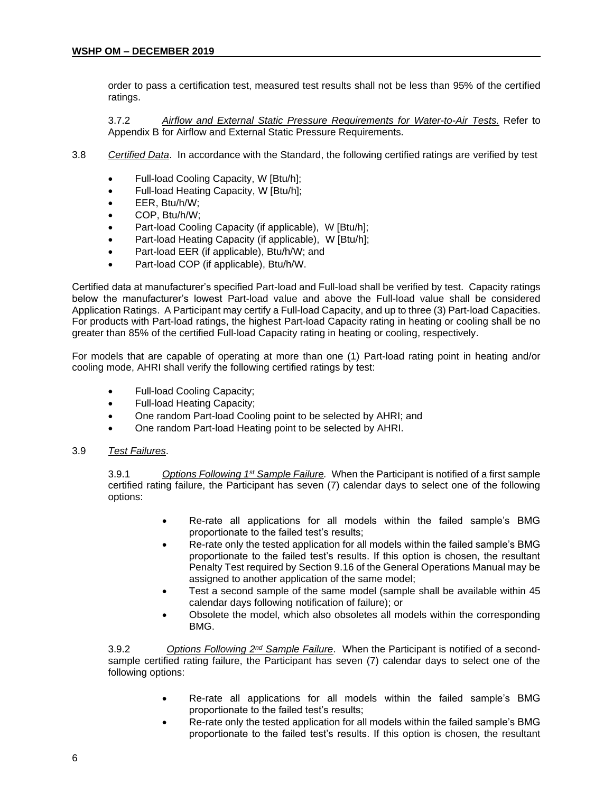order to pass a certification test, measured test results shall not be less than 95% of the certified ratings.

3.7.2 *Airflow and External Static Pressure Requirements for Water-to-Air Tests.* Refer to Appendix B for Airflow and External Static Pressure Requirements.

- 3.8 *Certified Data*. In accordance with the Standard, the following certified ratings are verified by test
	- Full-load Cooling Capacity, W [Btu/h];
	- Full-load Heating Capacity, W [Btu/h];
	- EER, Btu/h/W;
	- COP, Btu/h/W;
	- Part-load Cooling Capacity (if applicable), W [Btu/h];
	- Part-load Heating Capacity (if applicable), W [Btu/h];
	- Part-load EER (if applicable), Btu/h/W; and
	- Part-load COP (if applicable), Btu/h/W.

Certified data at manufacturer's specified Part-load and Full-load shall be verified by test. Capacity ratings below the manufacturer's lowest Part-load value and above the Full-load value shall be considered Application Ratings. A Participant may certify a Full-load Capacity, and up to three (3) Part-load Capacities. For products with Part-load ratings, the highest Part-load Capacity rating in heating or cooling shall be no greater than 85% of the certified Full-load Capacity rating in heating or cooling, respectively.

For models that are capable of operating at more than one (1) Part-load rating point in heating and/or cooling mode, AHRI shall verify the following certified ratings by test:

- Full-load Cooling Capacity;
- Full-load Heating Capacity;
- One random Part-load Cooling point to be selected by AHRI; and
- One random Part-load Heating point to be selected by AHRI.
- 3.9 *Test Failures*.

3.9.1 *Options Following 1st Sample Failure.* When the Participant is notified of a first sample certified rating failure, the Participant has seven (7) calendar days to select one of the following options:

- Re-rate all applications for all models within the failed sample's BMG proportionate to the failed test's results;
- Re-rate only the tested application for all models within the failed sample's BMG proportionate to the failed test's results. If this option is chosen, the resultant Penalty Test required by Section 9.16 of the General Operations Manual may be assigned to another application of the same model;
- Test a second sample of the same model (sample shall be available within 45 calendar days following notification of failure); or
- Obsolete the model, which also obsoletes all models within the corresponding BMG.

3.9.2 *Options Following 2nd Sample Failure*. When the Participant is notified of a secondsample certified rating failure, the Participant has seven (7) calendar days to select one of the following options:

- Re-rate all applications for all models within the failed sample's BMG proportionate to the failed test's results;
- Re-rate only the tested application for all models within the failed sample's BMG proportionate to the failed test's results. If this option is chosen, the resultant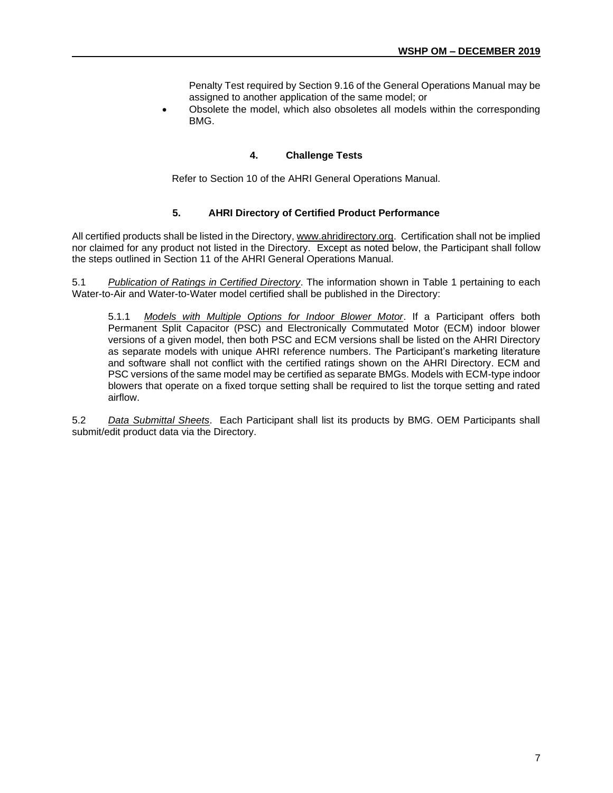Penalty Test required by Section 9.16 of the General Operations Manual may be assigned to another application of the same model; or

• Obsolete the model, which also obsoletes all models within the corresponding BMG.

#### **4. Challenge Tests**

Refer to Section 10 of the AHRI General Operations Manual.

#### **5. AHRI Directory of Certified Product Performance**

All certified products shall be listed in the Directory[, www.ahridirectory.org.](http://www.ahridirectory.org/) Certification shall not be implied nor claimed for any product not listed in the Directory. Except as noted below, the Participant shall follow the steps outlined in Section 11 of the AHRI General Operations Manual.

5.1 *Publication of Ratings in Certified Directory*. The information shown in Table 1 pertaining to each Water-to-Air and Water-to-Water model certified shall be published in the Directory:

5.1.1 *Models with Multiple Options for Indoor Blower Motor*. If a Participant offers both Permanent Split Capacitor (PSC) and Electronically Commutated Motor (ECM) indoor blower versions of a given model, then both PSC and ECM versions shall be listed on the AHRI Directory as separate models with unique AHRI reference numbers. The Participant's marketing literature and software shall not conflict with the certified ratings shown on the AHRI Directory. ECM and PSC versions of the same model may be certified as separate BMGs. Models with ECM-type indoor blowers that operate on a fixed torque setting shall be required to list the torque setting and rated airflow.

5.2 *Data Submittal Sheets*. Each Participant shall list its products by BMG. OEM Participants shall submit/edit product data via the Directory.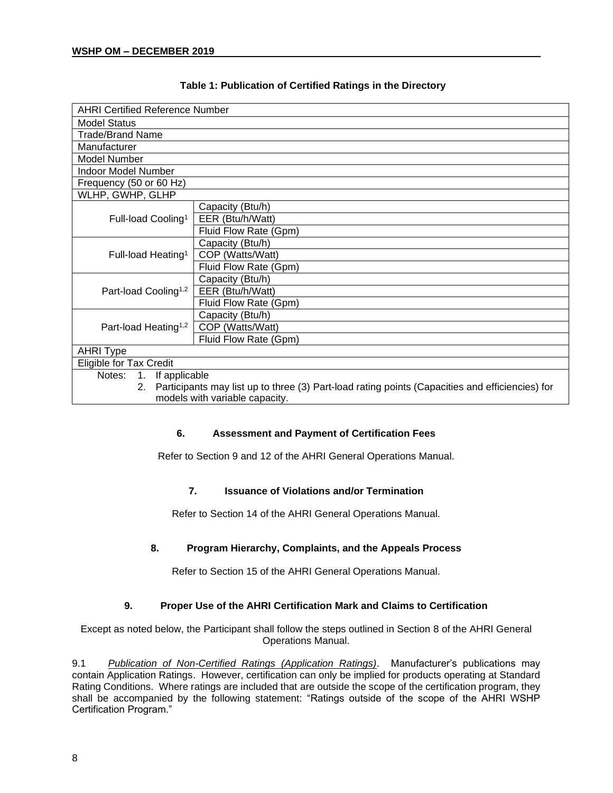| <b>AHRI Certified Reference Number</b>                                                                |                       |  |  |  |
|-------------------------------------------------------------------------------------------------------|-----------------------|--|--|--|
| <b>Model Status</b>                                                                                   |                       |  |  |  |
| <b>Trade/Brand Name</b>                                                                               |                       |  |  |  |
| Manufacturer                                                                                          |                       |  |  |  |
| Model Number                                                                                          |                       |  |  |  |
| Indoor Model Number                                                                                   |                       |  |  |  |
| Frequency (50 or 60 Hz)                                                                               |                       |  |  |  |
| WLHP, GWHP, GLHP                                                                                      |                       |  |  |  |
|                                                                                                       | Capacity (Btu/h)      |  |  |  |
| Full-load Cooling <sup>1</sup>                                                                        | EER (Btu/h/Watt)      |  |  |  |
|                                                                                                       | Fluid Flow Rate (Gpm) |  |  |  |
|                                                                                                       | Capacity (Btu/h)      |  |  |  |
| Full-load Heating <sup>1</sup>                                                                        | COP (Watts/Watt)      |  |  |  |
|                                                                                                       | Fluid Flow Rate (Gpm) |  |  |  |
|                                                                                                       | Capacity (Btu/h)      |  |  |  |
| Part-load Cooling <sup>1,2</sup>                                                                      | EER (Btu/h/Watt)      |  |  |  |
|                                                                                                       | Fluid Flow Rate (Gpm) |  |  |  |
|                                                                                                       | Capacity (Btu/h)      |  |  |  |
| Part-load Heating <sup>1,2</sup>                                                                      | COP (Watts/Watt)      |  |  |  |
|                                                                                                       | Fluid Flow Rate (Gpm) |  |  |  |
| <b>AHRI Type</b>                                                                                      |                       |  |  |  |
| Eligible for Tax Credit                                                                               |                       |  |  |  |
| Notes:<br>1.<br>If applicable                                                                         |                       |  |  |  |
| Participants may list up to three (3) Part-load rating points (Capacities and efficiencies) for<br>2. |                       |  |  |  |
| models with variable capacity.                                                                        |                       |  |  |  |

# **Table 1: Publication of Certified Ratings in the Directory**

# **6. Assessment and Payment of Certification Fees**

Refer to Section 9 and 12 of the AHRI General Operations Manual.

# **7. Issuance of Violations and/or Termination**

Refer to Section 14 of the AHRI General Operations Manual.

# **8. Program Hierarchy, Complaints, and the Appeals Process**

Refer to Section 15 of the AHRI General Operations Manual.

# **9. Proper Use of the AHRI Certification Mark and Claims to Certification**

Except as noted below, the Participant shall follow the steps outlined in Section 8 of the AHRI General Operations Manual.

9.1 *Publication of Non-Certified Ratings (Application Ratings)*. Manufacturer's publications may contain Application Ratings. However, certification can only be implied for products operating at Standard Rating Conditions. Where ratings are included that are outside the scope of the certification program, they shall be accompanied by the following statement: "Ratings outside of the scope of the AHRI WSHP Certification Program."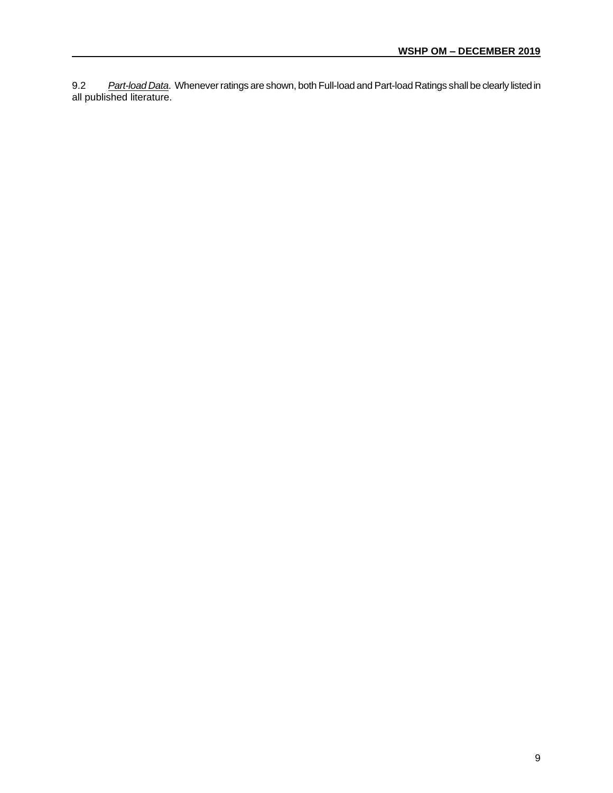9.2 *Part-load Data*. Whenever ratings are shown, both Full-load and Part-load Ratings shall be clearly listed in all published literature.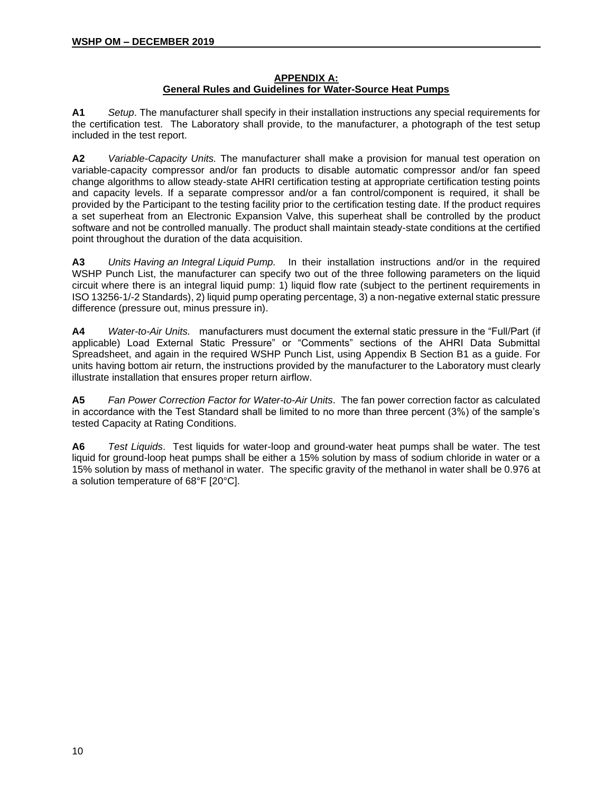#### **APPENDIX A: General Rules and Guidelines for Water-Source Heat Pumps**

**A1** *Setup*. The manufacturer shall specify in their installation instructions any special requirements for the certification test. The Laboratory shall provide, to the manufacturer, a photograph of the test setup included in the test report.

**A2** *Variable-Capacity Units.* The manufacturer shall make a provision for manual test operation on variable-capacity compressor and/or fan products to disable automatic compressor and/or fan speed change algorithms to allow steady-state AHRI certification testing at appropriate certification testing points and capacity levels. If a separate compressor and/or a fan control/component is required, it shall be provided by the Participant to the testing facility prior to the certification testing date. If the product requires a set superheat from an Electronic Expansion Valve, this superheat shall be controlled by the product software and not be controlled manually. The product shall maintain steady-state conditions at the certified point throughout the duration of the data acquisition.

**A3** *Units Having an Integral Liquid Pump.* In their installation instructions and/or in the required WSHP Punch List, the manufacturer can specify two out of the three following parameters on the liquid circuit where there is an integral liquid pump: 1) liquid flow rate (subject to the pertinent requirements in ISO 13256-1/-2 Standards), 2) liquid pump operating percentage, 3) a non-negative external static pressure difference (pressure out, minus pressure in).

**A4** *Water-to-Air Units.* manufacturers must document the external static pressure in the "Full/Part (if applicable) Load External Static Pressure" or "Comments" sections of the AHRI Data Submittal Spreadsheet, and again in the required WSHP Punch List, using Appendix B Section B1 as a guide. For units having bottom air return, the instructions provided by the manufacturer to the Laboratory must clearly illustrate installation that ensures proper return airflow.

**A5** *Fan Power Correction Factor for Water-to-Air Units*. The fan power correction factor as calculated in accordance with the Test Standard shall be limited to no more than three percent (3%) of the sample's tested Capacity at Rating Conditions.

**A6** *Test Liquids*. Test liquids for water-loop and ground-water heat pumps shall be water. The test liquid for ground-loop heat pumps shall be either a 15% solution by mass of sodium chloride in water or a 15% solution by mass of methanol in water. The specific gravity of the methanol in water shall be 0.976 at a solution temperature of 68°F [20°C].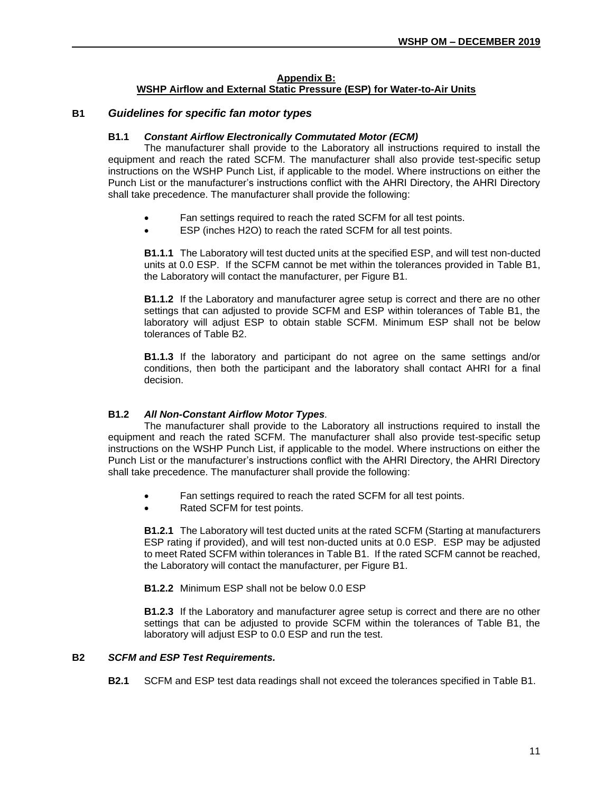#### **Appendix B:**

#### **WSHP Airflow and External Static Pressure (ESP) for Water-to-Air Units**

#### **B1** *Guidelines for specific fan motor types*

#### **B1.1** *Constant Airflow Electronically Commutated Motor (ECM)*

The manufacturer shall provide to the Laboratory all instructions required to install the equipment and reach the rated SCFM. The manufacturer shall also provide test-specific setup instructions on the WSHP Punch List, if applicable to the model. Where instructions on either the Punch List or the manufacturer's instructions conflict with the AHRI Directory, the AHRI Directory shall take precedence. The manufacturer shall provide the following:

- Fan settings required to reach the rated SCFM for all test points.
- ESP (inches H2O) to reach the rated SCFM for all test points.

**B1.1.1** The Laboratory will test ducted units at the specified ESP, and will test non-ducted units at 0.0 ESP. If the SCFM cannot be met within the tolerances provided in Table B1, the Laboratory will contact the manufacturer, per Figure B1.

**B1.1.2** If the Laboratory and manufacturer agree setup is correct and there are no other settings that can adjusted to provide SCFM and ESP within tolerances of Table B1, the laboratory will adjust ESP to obtain stable SCFM. Minimum ESP shall not be below tolerances of Table B2.

**B1.1.3** If the laboratory and participant do not agree on the same settings and/or conditions, then both the participant and the laboratory shall contact AHRI for a final decision.

#### **B1.2** *All Non-Constant Airflow Motor Types.*

The manufacturer shall provide to the Laboratory all instructions required to install the equipment and reach the rated SCFM. The manufacturer shall also provide test-specific setup instructions on the WSHP Punch List, if applicable to the model. Where instructions on either the Punch List or the manufacturer's instructions conflict with the AHRI Directory, the AHRI Directory shall take precedence. The manufacturer shall provide the following:

- Fan settings required to reach the rated SCFM for all test points.
- Rated SCFM for test points.

**B1.2.1** The Laboratory will test ducted units at the rated SCFM (Starting at manufacturers ESP rating if provided), and will test non-ducted units at 0.0 ESP. ESP may be adjusted to meet Rated SCFM within tolerances in Table B1. If the rated SCFM cannot be reached, the Laboratory will contact the manufacturer, per Figure B1.

**B1.2.2** Minimum ESP shall not be below 0.0 ESP

**B1.2.3** If the Laboratory and manufacturer agree setup is correct and there are no other settings that can be adjusted to provide SCFM within the tolerances of Table B1, the laboratory will adjust ESP to 0.0 ESP and run the test.

#### **B2** *SCFM and ESP Test Requirements.*

**B2.1** SCFM and ESP test data readings shall not exceed the tolerances specified in Table B1.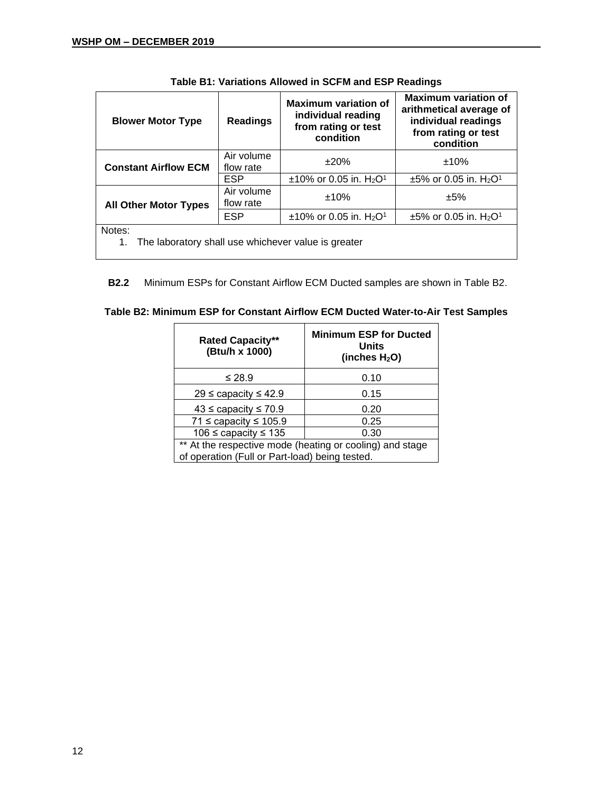$\overline{a}$ 

| <b>Blower Motor Type</b>                                            | <b>Readings</b>         | <b>Maximum variation of</b><br>individual reading<br>from rating or test<br>condition | <b>Maximum variation of</b><br>arithmetical average of<br>individual readings<br>from rating or test<br>condition |  |
|---------------------------------------------------------------------|-------------------------|---------------------------------------------------------------------------------------|-------------------------------------------------------------------------------------------------------------------|--|
| <b>Constant Airflow ECM</b>                                         | Air volume<br>flow rate | ±20%                                                                                  | ±10%                                                                                                              |  |
|                                                                     | <b>ESP</b>              | $±10\%$ or 0.05 in. H <sub>2</sub> O <sup>1</sup>                                     | $\pm 5\%$ or 0.05 in. H <sub>2</sub> O <sup>1</sup>                                                               |  |
| <b>All Other Motor Types</b>                                        | Air volume<br>flow rate | ±10%                                                                                  | ±5%                                                                                                               |  |
|                                                                     | <b>ESP</b>              | $±10\%$ or 0.05 in. H <sub>2</sub> O <sup>1</sup>                                     | $\pm 5\%$ or 0.05 in. H <sub>2</sub> O <sup>1</sup>                                                               |  |
| Notes:<br>The laboratory shall use whichever value is greater<br>1. |                         |                                                                                       |                                                                                                                   |  |

**B2.2** Minimum ESPs for Constant Airflow ECM Ducted samples are shown in Table B2.

| Table B2: Minimum ESP for Constant Airflow ECM Ducted Water-to-Air Test Samples |  |  |  |  |  |  |  |  |
|---------------------------------------------------------------------------------|--|--|--|--|--|--|--|--|
|---------------------------------------------------------------------------------|--|--|--|--|--|--|--|--|

| <b>Rated Capacity**</b><br>(Btu/h x 1000)                                                                  | <b>Minimum ESP for Ducted</b><br>Units<br>(inches $H_2O$ ) |  |  |
|------------------------------------------------------------------------------------------------------------|------------------------------------------------------------|--|--|
| ≤ 28.9                                                                                                     | 0.10                                                       |  |  |
| 29 ≤ capacity ≤ 42.9                                                                                       | 0.15                                                       |  |  |
| $43 \leq$ capacity $\leq 70.9$                                                                             | 0.20                                                       |  |  |
| 71 $\leq$ capacity $\leq$ 105.9                                                                            | 0.25                                                       |  |  |
| 106 $\leq$ capacity $\leq$ 135                                                                             | 0.30                                                       |  |  |
| ** At the respective mode (heating or cooling) and stage<br>of operation (Full or Part-load) being tested. |                                                            |  |  |